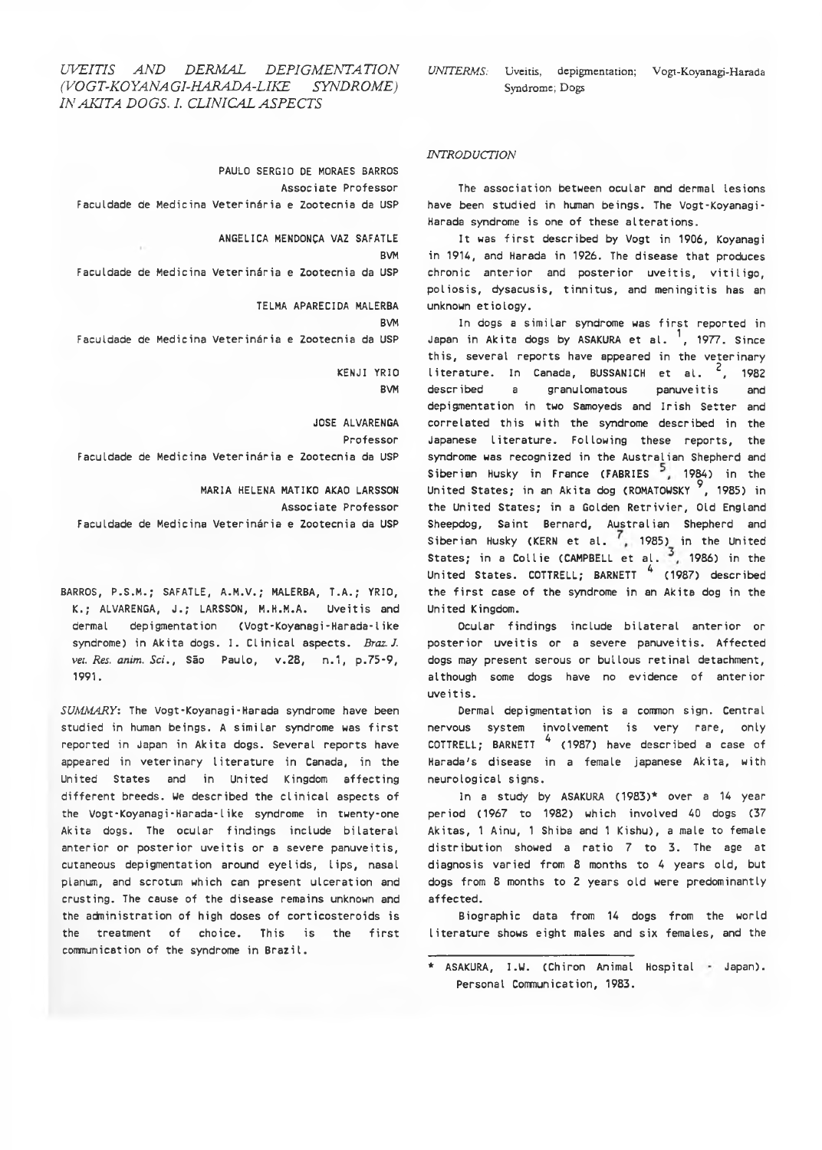# *UVEITIS AND DERMAL DEPIGMENTATION UNITERMS:* Uveitis, depigmentation; Vogt-Koyanagi-Harada *(VOGT-KOYANA GI-HARADA-LIKE SYNDROME)* Syndrome; Dogs *IN AKITA DOGS. I. CLINICAL ASPECTS*

PAULO SERGIO DE MORAES BARROS Associate Professor Faculdade de Medicina Veterinária e Zootecnia da USP

> ANGÉLICA MENDONÇA VAZ SAFATLE BVM

Faculdade de Medicina Veterinária e Zootecnia da USP

TELMA APARECIDA MALERBA BVM Faculdade de Medicina Veterinária e Zootecnia da USP

> KENJI YRIO BVM

JOSE ALVARENGA Professor Faculdade de Medicina Veterinária e Zootecnia da USP

MARIA HELENA MATIKO AKAO LARSSON Associate Professor Faculdade de Medicina Veterinária e Zootecnia da USP

BARROS, P.S.M.; SAFATLE, A.M.V.; MALERBA, T.A.; YRIO, K.; ALVARENGA, J.; LARSSON, M.H.M.A. Uveitis and dermal depigmentation (Vogt-Koyanagi-Harada-1 ike syndrome) in Akita dogs. I. Clinical aspects. *Braz. J. vei. Res. anim. Sci*., São Paulo, v.28, n.1, p.75-9, 1991.

*SUMMARY:* The Vogt-Koyanagi-Harada syndrome have been studied in human beings. A similar syndrome was first reported in Japan in Akita dogs. Several reports have appeared in veterinary literature in Canada, in the United States and in United Kingdom affecting different breeds. We described the clinical aspects of the Vogt-Koyanagi-Harada-1 ike syndrome in twenty-one Akita dogs. The ocular findings include bilateral anterior or posterior uveitis or a severe panuveitis, cutaneous depigmentation around eyelids, lips, nasal planum, and scrotum which can present ulceration and crusting. The cause of the disease remains unknown and the administration of high doses of corticosteroids is the treatment of choice. This is the first communication of the syndrome in Brazil.

## *INTRODUCTION*

The association between ocular and dermal lesions have been studied in human beings. The Vogt-Koyanagi-Harada syndrome is one of these alterations.

It was first described by Vogt in 1906, Koyanagi in 1914, and Harada in 1926. The disease that produces chronic anterior and posterior uveitis, vitiligo, poliosis, dysacusis, tinnitus, and meningitis has an unknown etiology.

In dogs a similar syndrome was first reported in Japan in Akita dogs by ASAKURA et al.  $<sup>1</sup>$ , 1977. Since</sup> this, several reports have appeared in the veterinary literature. In Canada, BUSSANICH et al.  $2$ , 1982 described a granulomatous panuveitis and depigmentation in two Samoyeds and Irish Setter and correlated this with the syndrome described in the Japanese literature. Following these reports, the syndrome was recognized in the Australian Shepherd and Siberian Husky in France (FABRIES<sup>5</sup>, 1984) in the United States; in an Akita dog (ROMATOWSKY<sup>9</sup>, 1985) in the United States; in a Golden Retrivier, Old England Sheepdog, Saint Bernard, Australian Shepherd and Siberian Husky (KERN et al.  $\left( \frac{1}{2} \right)$  1985) in the United States; in a Collie (CAMPBELL et al.  $\frac{3}{7}$ , 1986) in the United States. COTTRELL; BARNETT 4 (1987) described the first case of the syndrome in an Akita dog in the United Kingdom.

Ocular findings include bilateral anterior or posterior uveitis or a severe panuveitis. Affected dogs may present serous or bullous retinal detachment, although some dogs have no evidence of anterior uveitis.

Dermal depigmentation is a common sign. Central nervous system involvement is very rare, only COTTRELL; BARNETT  $4$  (1987) have described a case of Harada's disease in a female japanese Akita, with neurological signs.

In a study by ASAKURA (1983)\* over a 14 year period (1967 to 1982) which involved 40 dogs (37 Akitas, 1 Ainu, 1 Shiba and 1 Kishu), a male to female distribution showed a ratio 7 to 3. The age at diagnosis varied from 8 months to 4 years old, but dogs from 8 months to 2 years old were predominantly affected.

Biographic data from 14 dogs from the world literature shows eight males and six females, and the

<sup>\*</sup> ASAKURA, I.W. (Chiron Animal Hospital Japan).Personal Communication, 1983.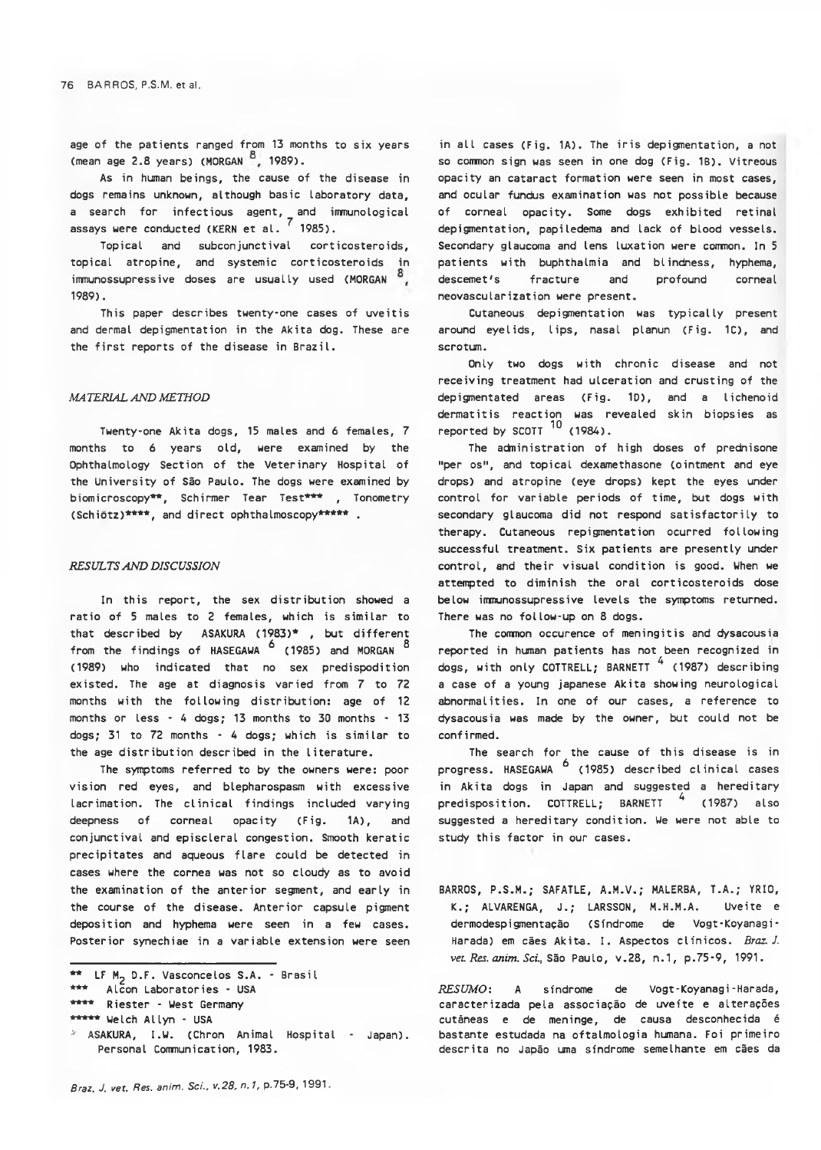age of the patients ranged from 13 months to six years (mean age 2.8 years) (MORGAN 8, 1989).

As in human beings, the cause of the disease in dogs remains unknown, although basic laboratory data, a search for infectious agent, and immunological assays were conducted (KERN et al.  $^7$  1985).

Topical and subconjunctival corticosteroids, topical atropine, and systemic corticosteroids in immunossupressive doses are usually used (MORGAN 1989).

This paper describes twenty-one cases of uveitis and dermal depigmentation in the Akita dog. These are the first reports of the disease in Brazil.

## *MA TER1AL AND METHOD*

Twenty-one Akita dogs, 15 males and 6 females, 7 months to 6 years old, were examined by the Ophthalmology Section of the Veterinary Hospital of the University of São Paulo. The dogs were examined by biomicroscopy\*\*, Schirmer Tear Test\*\*\* , Tonometry (Schiotz)\*\*\*\*, and direct ophthalmoscopy\*\*\*\*\* .

#### *RESULTS AND DISCUSSION*

In this report, the sex distribution showed a ratio of 5 males to 2 females, which is similar to that described by ASAKURA (1983)\* , but different from the findings of HASEGAWA <sup>6</sup> (1985) and MORGAN <sup>8</sup> (1989) who indicated that no sex predispodition existed. The age at diagnosis varied from 7 to 72 months with the following distribution: age of 12 months or less - 4 dogs; 13 months to 30 months - 13 dogs; 31 to 72 months - 4 dogs; which is similar to the age distribution described in the literature.

The symptoms referred to by the owners were: poor vision red eyes, and blepharospasm with excessive lacrimation. The clinical findings included varying deepness of corneal opacity (Fig. 1A), and conjunctival and episcleral congestion. Smooth keratic precipitates and aqueous flare could be detected in cases where the cornea was not so cloudy as to avoid the examination of the anterior segment, and early in the course of the disease. Anterior capsule pigment deposition and hyphema were seen in a few cases. Posterior synechiae in a variable extension were seen in all cases (Fig. 1A). The iris depigmentation, a not so common sign was seen in one dog (Fig. 1B). Vitreous opacity an cataract formation were seen in most cases, and ocular fundus examination was not possible because of corneal opacity. Some dogs exhibited retinal depigmentation, papiledema and lack of blood vessels. Secondary glaucoma and lens luxation were common. In 5 patients with buphthalmia and blindness, hyphema, descemet's fracture and profound corneal neovascularization were present.

Cutaneous depigmentation was typically present around eyelids, lips, nasal planun (Fig. 1C), and scrotum.

Only two dogs with chronic disease and not receiving treatment had ulceration and crusting of the depigmentated areas (Fig. 1D), and a lichenoid dermatitis reaction was revealed skin biopsies as reported by SCOTT  $^{10}$  (1984).

The adninistration of high doses of prednisone "per os", and topical dexamethasone (ointment and eye drops) and atropine (eye drops) kept the eyes under control for variable periods of time, but dogs with secondary glaucoma did not respond satisfactorily to therapy. Cutaneous repigmentation ocurred following successful treatment. Six patients are presently under control, and their visual condition is good. When we attempted to diminish the oral corticosteroids dose below immunossupressive levels the symptoms returned. There was no follow-up on 8 dogs.

The common occurence of meningitis and dysacousia reported in human patients has not been recognized in dogs, with only COTTRELL; BARNETT  $\frac{4}{1987}$  describing a case of a young japanese Akita showing neurological abnormalities. In one of our cases, a reference to dysacousia was made by the owner, but could not be confirmed.

The search for the cause of this disease is in progress. HASEGAWA <sup>6</sup> (1985) described clinical cases in Akita dogs in Japan and suggested a hereditary predisposition. COTTRELL; BARNETT <sup>4</sup> (1987) also suggested a hereditary condition. We were not able to study this factor in our cases.

BARROS, P.S.M.; SAFATLE, A.M.V.; MALERBA, T.A.; YRIO, K.; ALVARENGA, J.; LARSSON, M.H.M.A. Uveite e dermodespigmentação (Síndrome de Vogt-Koyanagi-Harada) em cães Akita. I. Aspectos clínicos. *Braz. J. veu Res. anim. Sei.,* São Paulo, v . 28, n.1, p.75-9, 1991.

*RESUMO:* A síndrome de Vogt-Koyanagi-Harada, caracterizada pela associação de uveite e alterações cutâneas e de meninge, de causa desconhecida é bastante estudada na oftalmologia humana. Foi primeiro descrita no Japão uma síndrome semelhante em cães da

<sup>\*\*</sup> LF M<sub>2</sub> D.F. Vasconcelos S.A. - Brasil

<sup>\*\*\*</sup> Alcon Laboratories - USA

<sup>\*\*\*\*</sup> Riester - West Germany

<sup>\*\*\*\*\*</sup> Welch Allyn - USA

<sup>\*</sup> ASAKURA, I.U. (Chron Animal Hospital - Japan). Personal Communication, 1983.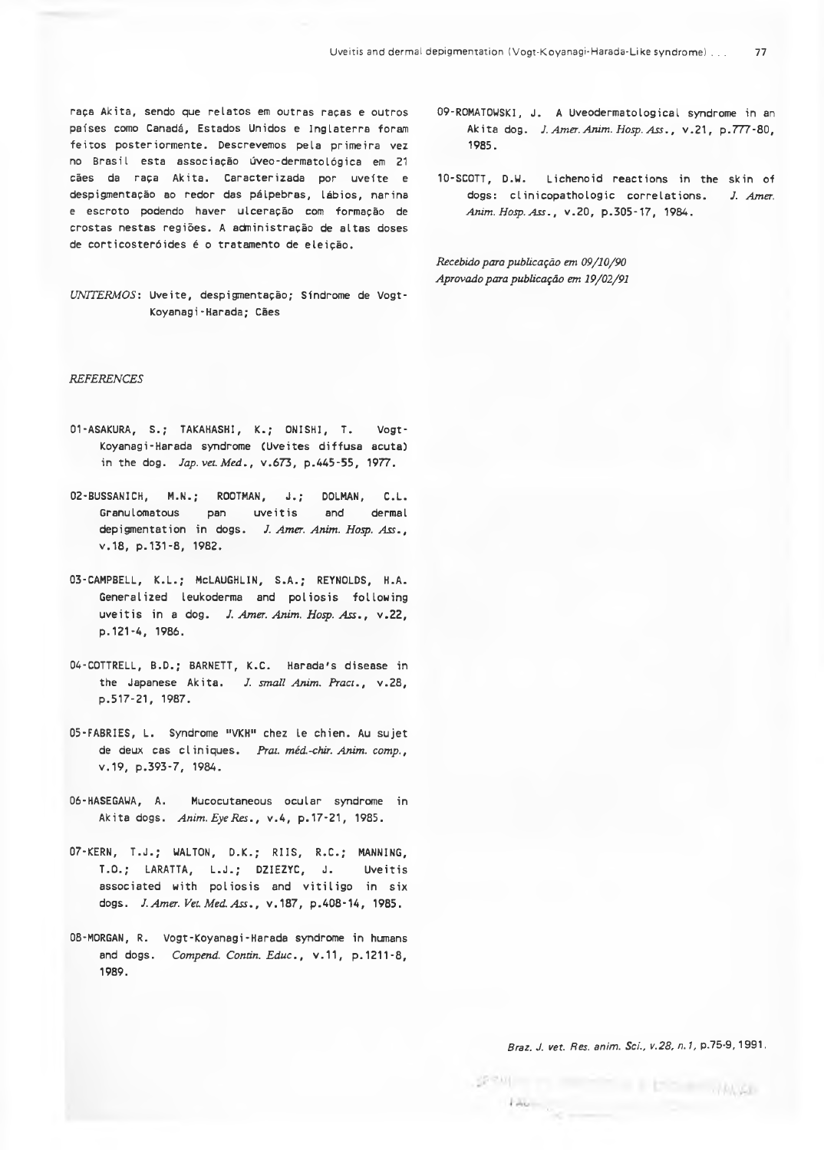raça Akita, sendo que relatos em outras raças e outros países como Canadá, Estados Unidos e Inglaterra foram feitos posteriormente. Descrevemos pela primeira vez no Brasil esta associação úveo-dermatológica em 21 cães da raça Akita. Caracterizada por uveíte e despigmentação ao redor das pálpebras, lábios, narina e escroto podendo haver ulceração com formação de crostas nestas regiões. A administração de altas doses de corticosteróides é o tratamento de eleição.

*UNTTERMOS:* Uveite, despi gmentação; Síndrome de Vogt-Koyanagi-Harada; Cães

### *REFERENCES*

- 01-ASAKURA, S.; TAKAHASHI, K.; ONISHI, T. Vogt-Koyanagi-Harada syndrome (Uveites diffusa acuta) in the dog. *Jap. vet Med.,* v.673, p.445-55, 1977.
- 02-BUSSANICH, M.N.; ROOTMAN, J.; DOLMAN, C.L. Granulomatous pan uveitis and dermal depigmentation in dogs. *J. Amer. Anim. Hosp. Ass.,* v.18, p.131-8, 1982.
- 0 3 -CAMPBELL, K.L.; MCLAUGHLIN, S.A.; REYNOLDS, H.A. Generalized leukoderma and poliosis following uveitis in a dog. *J. Amer. Anim. Hosp. Ass.,* v.22, p . 121-4, 1986.
- 04-COTTRELL, B.D.; BARNETT, K.C. Harada's disease in the Japanese Akita. *J. small Anim. Pract.,* v.28, p.517-21, 1987.
- 05-FABRIES, L. Syndrome "VKH" chez le chien. Au sujet de deux cas cliniques. *Prai. méd.-chir. Anim. comp.,* v . 19, p.393-7, 1984.
- 06-HASEGAUA, A. Mucocutaneous ocular syndrome in Akita dogs. Anim. Eye Res., v.4, p.17-21, 1985.
- 07-KERN, T.J.; WALTON, D.K.; RI IS, R.C.; MANNING, T.O.; LARATTA, L.J.; DZIEZYC, J. Uveitis associated with poliosis and vitiligo in six dogs. *J. Amer. Vel Med. Ass.,* v.187, p.408-14, 1985.
- 08-MORGAN, R. Vogt-Koyanagi-Harada syndrome in humans and dogs. *Compend. Contin. Educ.*, v.11, p.1211-8. 1989.
- 09-ROMATOWSKI, J. A Uveodermatological syndrome in an Akita dog. *J. Amer. Anim. Hasp. Ass.,* v.21, p.777-80, 1985.
- 10-SC0TT, D.W. Lichenoid reactions in the skin of dogs: clinicopathologic correlations. *J. Amer. Anim. Hasp. Ass*., v.20, p.305-17, 1984.

*Recebido para publicação em 09/10/90 Aprovado para publicação em 19/02/91*

*Braz. J. vet. Res. anim . Sci., v.28, n. 1,* p.75-9, 1991.

**HALLY** 

 $2P$  and  $P$ 

 $1 - 1$